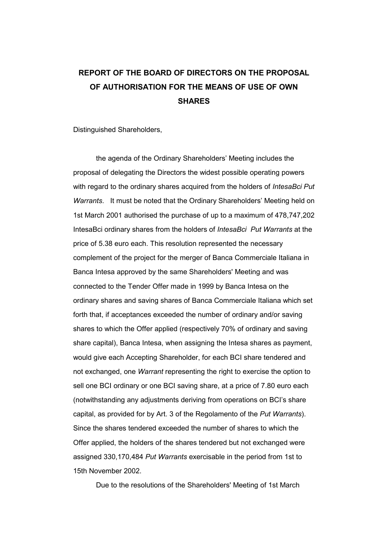## **REPORT OF THE BOARD OF DIRECTORS ON THE PROPOSAL OF AUTHORISATION FOR THE MEANS OF USE OF OWN SHARES**

Distinguished Shareholders,

 the agenda of the Ordinary Shareholders' Meeting includes the proposal of delegating the Directors the widest possible operating powers with regard to the ordinary shares acquired from the holders of *IntesaBci Put Warrants*. It must be noted that the Ordinary Shareholders' Meeting held on 1st March 2001 authorised the purchase of up to a maximum of 478,747,202 IntesaBci ordinary shares from the holders of *IntesaBci Put Warrants* at the price of 5.38 euro each. This resolution represented the necessary complement of the project for the merger of Banca Commerciale Italiana in Banca Intesa approved by the same Shareholders' Meeting and was connected to the Tender Offer made in 1999 by Banca Intesa on the ordinary shares and saving shares of Banca Commerciale Italiana which set forth that, if acceptances exceeded the number of ordinary and/or saving shares to which the Offer applied (respectively 70% of ordinary and saving share capital), Banca Intesa, when assigning the Intesa shares as payment, would give each Accepting Shareholder, for each BCI share tendered and not exchanged, one *Warrant* representing the right to exercise the option to sell one BCI ordinary or one BCI saving share, at a price of 7.80 euro each (notwithstanding any adjustments deriving from operations on BCI's share capital, as provided for by Art. 3 of the Regolamento of the *Put Warrants*). Since the shares tendered exceeded the number of shares to which the Offer applied, the holders of the shares tendered but not exchanged were assigned 330,170,484 *Put Warrants* exercisable in the period from 1st to 15th November 2002.

Due to the resolutions of the Shareholders' Meeting of 1st March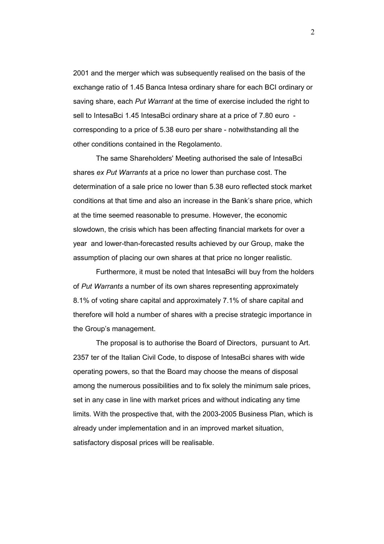2001 and the merger which was subsequently realised on the basis of the exchange ratio of 1.45 Banca Intesa ordinary share for each BCI ordinary or saving share, each *Put Warrant* at the time of exercise included the right to sell to IntesaBci 1.45 IntesaBci ordinary share at a price of 7.80 euro corresponding to a price of 5.38 euro per share - notwithstanding all the other conditions contained in the Regolamento.

The same Shareholders' Meeting authorised the sale of IntesaBci shares *ex Put Warrants* at a price no lower than purchase cost. The determination of a sale price no lower than 5.38 euro reflected stock market conditions at that time and also an increase in the Bank's share price, which at the time seemed reasonable to presume. However, the economic slowdown, the crisis which has been affecting financial markets for over a year and lower-than-forecasted results achieved by our Group, make the assumption of placing our own shares at that price no longer realistic.

 Furthermore, it must be noted that IntesaBci will buy from the holders of *Put Warrants* a number of its own shares representing approximately 8.1% of voting share capital and approximately 7.1% of share capital and therefore will hold a number of shares with a precise strategic importance in the Group's management.

 The proposal is to authorise the Board of Directors, pursuant to Art. 2357 ter of the Italian Civil Code, to dispose of IntesaBci shares with wide operating powers, so that the Board may choose the means of disposal among the numerous possibilities and to fix solely the minimum sale prices, set in any case in line with market prices and without indicating any time limits. With the prospective that, with the 2003-2005 Business Plan, which is already under implementation and in an improved market situation, satisfactory disposal prices will be realisable.

2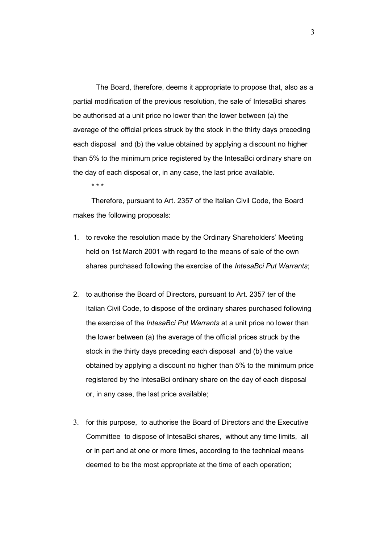The Board, therefore, deems it appropriate to propose that, also as a partial modification of the previous resolution, the sale of IntesaBci shares be authorised at a unit price no lower than the lower between (a) the average of the official prices struck by the stock in the thirty days preceding each disposal and (b) the value obtained by applying a discount no higher than 5% to the minimum price registered by the IntesaBci ordinary share on the day of each disposal or, in any case, the last price available.

\* \* \*

Therefore, pursuant to Art. 2357 of the Italian Civil Code, the Board makes the following proposals:

- 1. to revoke the resolution made by the Ordinary Shareholders' Meeting held on 1st March 2001 with regard to the means of sale of the own shares purchased following the exercise of the *IntesaBci Put Warrants*;
- 2. to authorise the Board of Directors, pursuant to Art. 2357 ter of the Italian Civil Code, to dispose of the ordinary shares purchased following the exercise of the *IntesaBci Put Warrants* at a unit price no lower than the lower between (a) the average of the official prices struck by the stock in the thirty days preceding each disposal and (b) the value obtained by applying a discount no higher than 5% to the minimum price registered by the IntesaBci ordinary share on the day of each disposal or, in any case, the last price available;
- 3. for this purpose, to authorise the Board of Directors and the Executive Committee to dispose of IntesaBci shares, without any time limits, all or in part and at one or more times, according to the technical means deemed to be the most appropriate at the time of each operation;